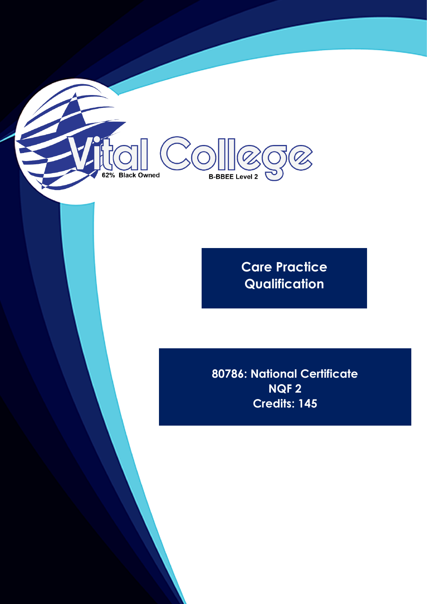

**Care Practice Qualification**

**80786: National Certificate NQF 2 Credits: 145**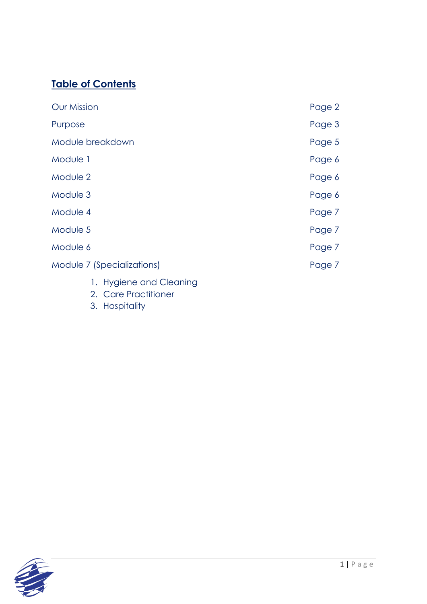# **Table of Contents**

| <b>Our Mission</b>         | Page 2 |
|----------------------------|--------|
| Purpose                    | Page 3 |
| Module breakdown           | Page 5 |
| Module 1                   | Page 6 |
| Module 2                   | Page 6 |
| Module 3                   | Page 6 |
| Module 4                   | Page 7 |
| Module 5                   | Page 7 |
| Module 6                   | Page 7 |
| Module 7 (Specializations) | Page 7 |
| 1. Hygiene and Cleaning    |        |

- 2. Care Practitioner
- 3. Hospitality

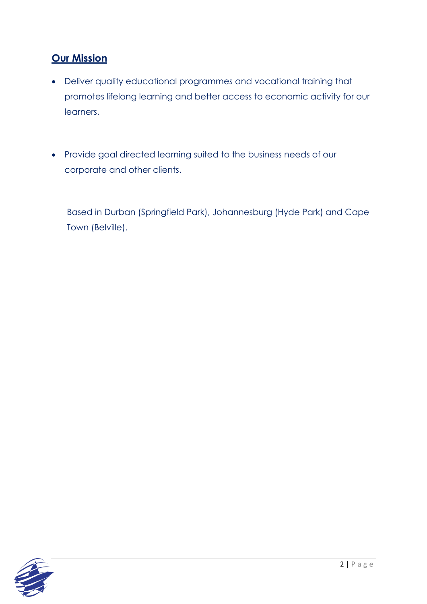### **Our Mission**

- Deliver quality educational programmes and vocational training that promotes lifelong learning and better access to economic activity for our learners.
- Provide goal directed learning suited to the business needs of our corporate and other clients.

Based in Durban (Springfield Park), Johannesburg (Hyde Park) and Cape Town (Belville).

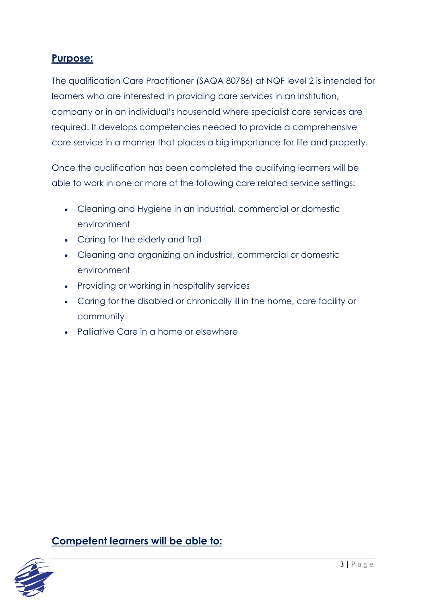### **Purpose:**

The qualification Care Practitioner (SAQA 80786) at NQF level 2 is intended for learners who are interested in providing care services in an institution, company or in an individual's household where specialist care services are required. It develops competencies needed to provide a comprehensive care service in a manner that places a big importance for life and property.

Once the qualification has been completed the qualifying learners will be able to work in one or more of the following care related service settings:

- Cleaning and Hygiene in an industrial, commercial or domestic environment
- Caring for the elderly and frail
- Cleaning and organizing an industrial, commercial or domestic environment
- Providing or working in hospitality services
- Caring for the disabled or chronically ill in the home, care facility or community
- Palliative Care in a home or elsewhere

**Competent learners will be able to:**

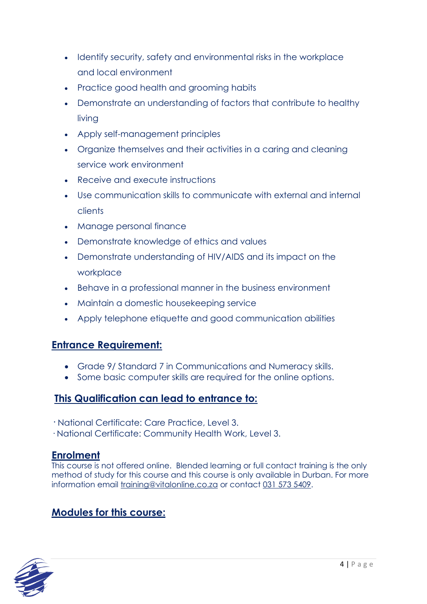- Identify security, safety and environmental risks in the workplace and local environment
- Practice good health and grooming habits
- Demonstrate an understanding of factors that contribute to healthy living
- Apply self-management principles
- Organize themselves and their activities in a caring and cleaning service work environment
- Receive and execute instructions
- Use communication skills to communicate with external and internal clients
- Manage personal finance
- Demonstrate knowledge of ethics and values
- Demonstrate understanding of HIV/AIDS and its impact on the workplace
- Behave in a professional manner in the business environment
- Maintain a domestic housekeeping service
- Apply telephone etiquette and good communication abilities

#### **Entrance Requirement:**

- Grade 9/ Standard 7 in Communications and Numeracy skills.
- Some basic computer skills are required for the online options.

### **This Qualification can lead to entrance to:**

· National Certificate: Care Practice, Level 3.

· National Certificate: Community Health Work, Level 3.

#### **Enrolment**

This course is not offered online. Blended learning or full contact training is the only method of study for this course and this course is only available in Durban. For more information email [training@vitalonline.co.za](about:blank) or contact [031 573 5409.](about:blank)

## **Modules for this course:**

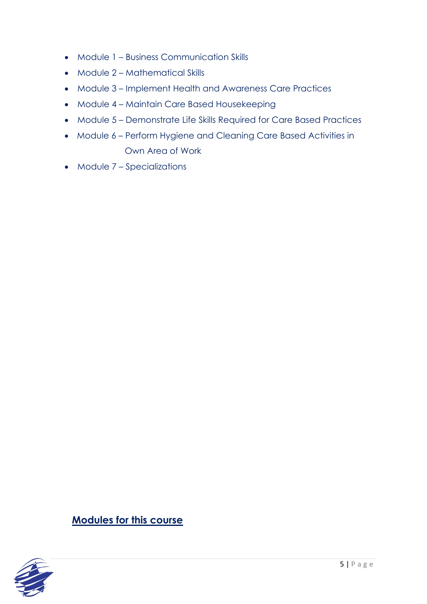- Module 1 Business Communication Skills
- Module 2 Mathematical Skills
- Module 3 Implement Health and Awareness Care Practices
- Module 4 Maintain Care Based Housekeeping
- Module 5 Demonstrate Life Skills Required for Care Based Practices
- Module 6 Perform Hygiene and Cleaning Care Based Activities in Own Area of Work
- Module 7 Specializations

**Modules for this course**

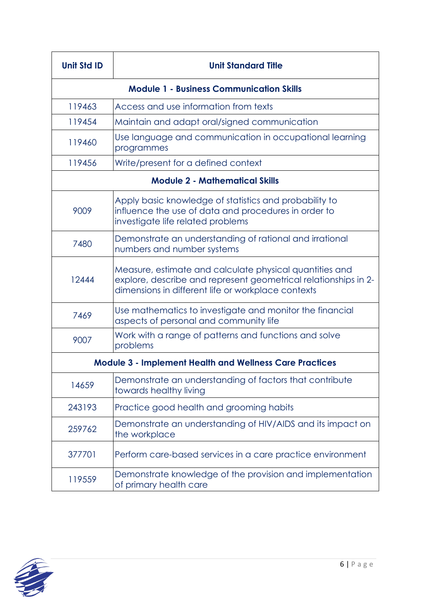| <b>Unit Std ID</b>                                             | <b>Unit Standard Title</b>                                                                                                                                                       |  |
|----------------------------------------------------------------|----------------------------------------------------------------------------------------------------------------------------------------------------------------------------------|--|
|                                                                | <b>Module 1 - Business Communication Skills</b>                                                                                                                                  |  |
| 119463                                                         | Access and use information from texts                                                                                                                                            |  |
| 119454                                                         | Maintain and adapt oral/signed communication                                                                                                                                     |  |
| 119460                                                         | Use language and communication in occupational learning<br>programmes                                                                                                            |  |
| 119456                                                         | Write/present for a defined context                                                                                                                                              |  |
| <b>Module 2 - Mathematical Skills</b>                          |                                                                                                                                                                                  |  |
| 9009                                                           | Apply basic knowledge of statistics and probability to<br>influence the use of data and procedures in order to<br>investigate life related problems                              |  |
| 7480                                                           | Demonstrate an understanding of rational and irrational<br>numbers and number systems                                                                                            |  |
| 12444                                                          | Measure, estimate and calculate physical quantities and<br>explore, describe and represent geometrical relationships in 2-<br>dimensions in different life or workplace contexts |  |
| 7469                                                           | Use mathematics to investigate and monitor the financial<br>aspects of personal and community life                                                                               |  |
| 9007                                                           | Work with a range of patterns and functions and solve<br>problems                                                                                                                |  |
| <b>Module 3 - Implement Health and Wellness Care Practices</b> |                                                                                                                                                                                  |  |
| 14659                                                          | Demonstrate an understanding of factors that contribute<br>towards healthy living                                                                                                |  |
| 243193                                                         | Practice good health and grooming habits                                                                                                                                         |  |
| 259762                                                         | Demonstrate an understanding of HIV/AIDS and its impact on<br>the workplace                                                                                                      |  |
| 377701                                                         | Perform care-based services in a care practice environment                                                                                                                       |  |
| 119559                                                         | Demonstrate knowledge of the provision and implementation<br>of primary health care                                                                                              |  |

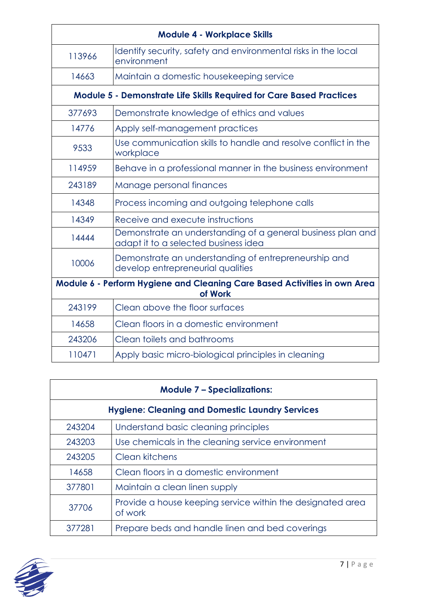| <b>Module 4 - Workplace Skills</b>                                                   |                                                                                                     |  |
|--------------------------------------------------------------------------------------|-----------------------------------------------------------------------------------------------------|--|
| 113966                                                                               | Identify security, safety and environmental risks in the local<br>environment                       |  |
| 14663                                                                                | Maintain a domestic housekeeping service                                                            |  |
| <b>Module 5 - Demonstrate Life Skills Required for Care Based Practices</b>          |                                                                                                     |  |
| 377693                                                                               | Demonstrate knowledge of ethics and values                                                          |  |
| 14776                                                                                | Apply self-management practices                                                                     |  |
| 9533                                                                                 | Use communication skills to handle and resolve conflict in the<br>workplace                         |  |
| 114959                                                                               | Behave in a professional manner in the business environment                                         |  |
| 243189                                                                               | Manage personal finances                                                                            |  |
| 14348                                                                                | Process incoming and outgoing telephone calls                                                       |  |
| 14349                                                                                | Receive and execute instructions                                                                    |  |
| 14444                                                                                | Demonstrate an understanding of a general business plan and<br>adapt it to a selected business idea |  |
| 10006                                                                                | Demonstrate an understanding of entrepreneurship and<br>develop entrepreneurial qualities           |  |
| Module 6 - Perform Hygiene and Cleaning Care Based Activities in own Area<br>of Work |                                                                                                     |  |
| 243199                                                                               | Clean above the floor surfaces                                                                      |  |
| 14658                                                                                | Clean floors in a domestic environment                                                              |  |
| 243206                                                                               | Clean toilets and bathrooms                                                                         |  |
| 110471                                                                               | Apply basic micro-biological principles in cleaning                                                 |  |

| <b>Module 7 - Specializations:</b>                     |                                                                       |  |
|--------------------------------------------------------|-----------------------------------------------------------------------|--|
| <b>Hygiene: Cleaning and Domestic Laundry Services</b> |                                                                       |  |
| 243204                                                 | Understand basic cleaning principles                                  |  |
| 243203                                                 | Use chemicals in the cleaning service environment                     |  |
| 243205                                                 | Clean kitchens                                                        |  |
| 14658                                                  | Clean floors in a domestic environment                                |  |
| 377801                                                 | Maintain a clean linen supply                                         |  |
| 37706                                                  | Provide a house keeping service within the designated area<br>of work |  |
| 377281                                                 | Prepare beds and handle linen and bed coverings                       |  |

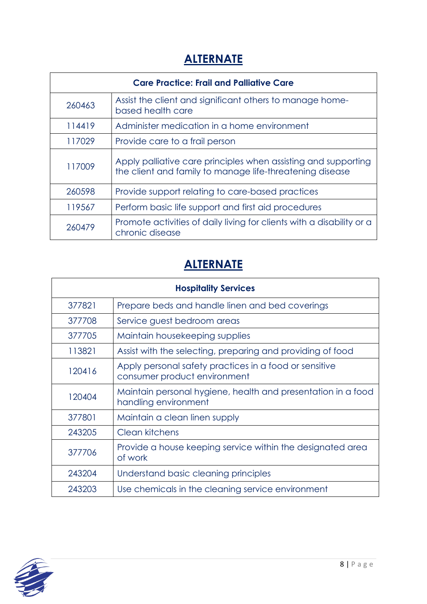# **ALTERNATE**

| <b>Care Practice: Frail and Palliative Care</b> |                                                                                                                            |  |
|-------------------------------------------------|----------------------------------------------------------------------------------------------------------------------------|--|
| 260463                                          | Assist the client and significant others to manage home-<br>based health care                                              |  |
| 114419                                          | Administer medication in a home environment                                                                                |  |
| 117029                                          | Provide care to a frail person                                                                                             |  |
| 117009                                          | Apply palliative care principles when assisting and supporting<br>the client and family to manage life-threatening disease |  |
| 260598                                          | Provide support relating to care-based practices                                                                           |  |
| 119567                                          | Perform basic life support and first aid procedures                                                                        |  |
| 260479                                          | Promote activities of daily living for clients with a disability or a<br>chronic disease                                   |  |

# **ALTERNATE**

| <b>Hospitality Services</b> |                                                                                        |  |
|-----------------------------|----------------------------------------------------------------------------------------|--|
| 377821                      | Prepare beds and handle linen and bed coverings                                        |  |
| 377708                      | Service guest bedroom areas                                                            |  |
| 377705                      | Maintain housekeeping supplies                                                         |  |
| 113821                      | Assist with the selecting, preparing and providing of food                             |  |
| 120416                      | Apply personal safety practices in a food or sensitive<br>consumer product environment |  |
| 120404                      | Maintain personal hygiene, health and presentation in a food<br>handling environment   |  |
| 377801                      | Maintain a clean linen supply                                                          |  |
| 243205                      | Clean kitchens                                                                         |  |
| 377706                      | Provide a house keeping service within the designated area<br>of work                  |  |
| 243204                      | Understand basic cleaning principles                                                   |  |
| 243203                      | Use chemicals in the cleaning service environment                                      |  |